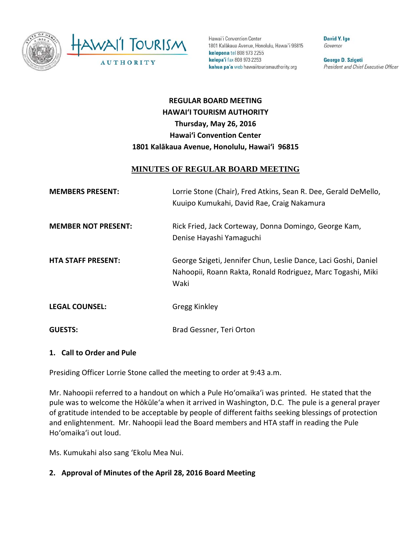

Hawai'i Convention Center 1801 Kalākaua Avenue, Honolulu, Hawai'i 96815 kelepona tel 808 973 2255 kelepa'i fax 808 973 2253 kahua pa'a web hawaiitourismauthority.org

David Y. Ige Governor

George D. Szigeti President and Chief Executive Officer

# **REGULAR BOARD MEETING HAWAI'I TOURISM AUTHORITY Thursday, May 26, 2016 Hawai'i Convention Center 1801 Kalākaua Avenue, Honolulu, Hawai'i 96815**

### **MINUTES OF REGULAR BOARD MEETING**

| <b>MEMBERS PRESENT:</b>    | Lorrie Stone (Chair), Fred Atkins, Sean R. Dee, Gerald DeMello,<br>Kuuipo Kumukahi, David Rae, Craig Nakamura                          |
|----------------------------|----------------------------------------------------------------------------------------------------------------------------------------|
| <b>MEMBER NOT PRESENT:</b> | Rick Fried, Jack Corteway, Donna Domingo, George Kam,<br>Denise Hayashi Yamaguchi                                                      |
| <b>HTA STAFF PRESENT:</b>  | George Szigeti, Jennifer Chun, Leslie Dance, Laci Goshi, Daniel<br>Nahoopii, Roann Rakta, Ronald Rodriguez, Marc Togashi, Miki<br>Waki |
| <b>LEGAL COUNSEL:</b>      | <b>Gregg Kinkley</b>                                                                                                                   |
| <b>GUESTS:</b>             | Brad Gessner, Teri Orton                                                                                                               |

#### **1. Call to Order and Pule**

Presiding Officer Lorrie Stone called the meeting to order at 9:43 a.m.

Mr. Nahoopii referred to a handout on which a Pule Hoʻomaikaʻi was printed. He stated that the pule was to welcome the Hōkūle'a when it arrived in Washington, D.C. The pule is a general prayer of gratitude intended to be acceptable by people of different faiths seeking blessings of protection and enlightenment. Mr. Nahoopii lead the Board members and HTA staff in reading the Pule Hoʻomaikaʻi out loud.

Ms. Kumukahi also sang 'Ekolu Mea Nui.

**2. Approval of Minutes of the April 28, 2016 Board Meeting**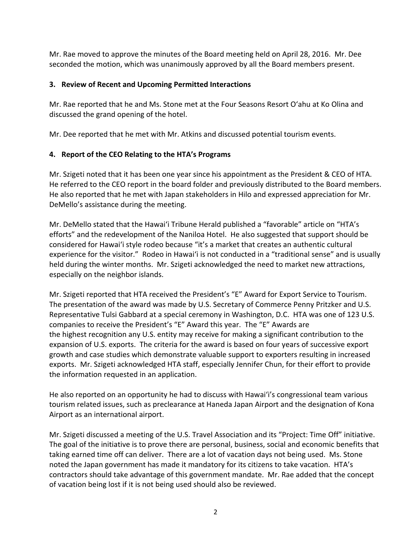Mr. Rae moved to approve the minutes of the Board meeting held on April 28, 2016. Mr. Dee seconded the motion, which was unanimously approved by all the Board members present.

### **3. Review of Recent and Upcoming Permitted Interactions**

Mr. Rae reported that he and Ms. Stone met at the Four Seasons Resort O'ahu at Ko Olina and discussed the grand opening of the hotel.

Mr. Dee reported that he met with Mr. Atkins and discussed potential tourism events.

## **4. Report of the CEO Relating to the HTA's Programs**

Mr. Szigeti noted that it has been one year since his appointment as the President & CEO of HTA. He referred to the CEO report in the board folder and previously distributed to the Board members. He also reported that he met with Japan stakeholders in Hilo and expressed appreciation for Mr. DeMello's assistance during the meeting.

Mr. DeMello stated that the Hawai'i Tribune Herald published a "favorable" article on "HTA's efforts" and the redevelopment of the Naniloa Hotel. He also suggested that support should be considered for Hawai'i style rodeo because "it's a market that creates an authentic cultural experience for the visitor." Rodeo in Hawai'i is not conducted in a "traditional sense" and is usually held during the winter months. Mr. Szigeti acknowledged the need to market new attractions, especially on the neighbor islands.

Mr. Szigeti reported that HTA received the President's "E" Award for Export Service to Tourism. The presentation of the award was made by U.S. Secretary of Commerce Penny Pritzker and U.S. Representative Tulsi Gabbard at a special ceremony in Washington, D.C. HTA was one of 123 U.S. companies to receive the President's "E" Award this year. The "E" Awards are the highest recognition any U.S. entity may receive for making a significant contribution to the expansion of U.S. exports. The criteria for the award is based on four years of successive export growth and case studies which demonstrate valuable support to exporters resulting in increased exports. Mr. Szigeti acknowledged HTA staff, especially Jennifer Chun, for their effort to provide the information requested in an application.

He also reported on an opportunity he had to discuss with Hawai'i's congressional team various tourism related issues, such as preclearance at Haneda Japan Airport and the designation of Kona Airport as an international airport.

Mr. Szigeti discussed a meeting of the U.S. Travel Association and its "Project: Time Off" initiative. The goal of the initiative is to prove there are personal, business, social and economic benefits that taking earned time off can deliver. There are a lot of vacation days not being used. Ms. Stone noted the Japan government has made it mandatory for its citizens to take vacation. HTA's contractors should take advantage of this government mandate. Mr. Rae added that the concept of vacation being lost if it is not being used should also be reviewed.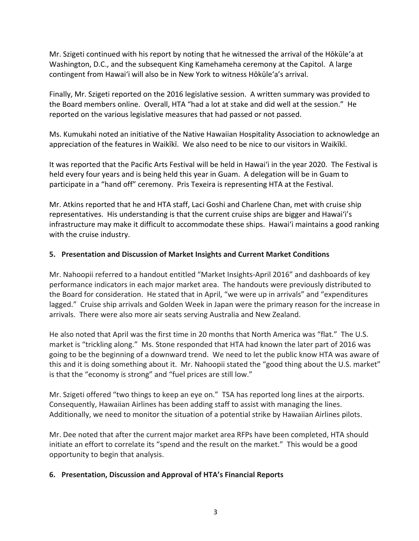Mr. Szigeti continued with his report by noting that he witnessed the arrival of the Hōkūle'a at Washington, D.C., and the subsequent King Kamehameha ceremony at the Capitol. A large contingent from Hawai'i will also be in New York to witness Hōkūle'a's arrival.

Finally, Mr. Szigeti reported on the 2016 legislative session. A written summary was provided to the Board members online. Overall, HTA "had a lot at stake and did well at the session." He reported on the various legislative measures that had passed or not passed.

Ms. Kumukahi noted an initiative of the Native Hawaiian Hospitality Association to acknowledge an appreciation of the features in Waikīkī. We also need to be nice to our visitors in Waikīkī.

It was reported that the Pacific Arts Festival will be held in Hawai'i in the year 2020. The Festival is held every four years and is being held this year in Guam. A delegation will be in Guam to participate in a "hand off" ceremony. Pris Texeira is representing HTA at the Festival.

Mr. Atkins reported that he and HTA staff, Laci Goshi and Charlene Chan, met with cruise ship representatives. His understanding is that the current cruise ships are bigger and Hawai'i's infrastructure may make it difficult to accommodate these ships. Hawai'i maintains a good ranking with the cruise industry.

#### **5. Presentation and Discussion of Market Insights and Current Market Conditions**

Mr. Nahoopii referred to a handout entitled "Market Insights-April 2016" and dashboards of key performance indicators in each major market area. The handouts were previously distributed to the Board for consideration. He stated that in April, "we were up in arrivals" and "expenditures lagged." Cruise ship arrivals and Golden Week in Japan were the primary reason for the increase in arrivals. There were also more air seats serving Australia and New Zealand.

He also noted that April was the first time in 20 months that North America was "flat." The U.S. market is "trickling along." Ms. Stone responded that HTA had known the later part of 2016 was going to be the beginning of a downward trend. We need to let the public know HTA was aware of this and it is doing something about it. Mr. Nahoopii stated the "good thing about the U.S. market" is that the "economy is strong" and "fuel prices are still low."

Mr. Szigeti offered "two things to keep an eye on." TSA has reported long lines at the airports. Consequently, Hawaiian Airlines has been adding staff to assist with managing the lines. Additionally, we need to monitor the situation of a potential strike by Hawaiian Airlines pilots.

Mr. Dee noted that after the current major market area RFPs have been completed, HTA should initiate an effort to correlate its "spend and the result on the market." This would be a good opportunity to begin that analysis.

#### **6. Presentation, Discussion and Approval of HTA's Financial Reports**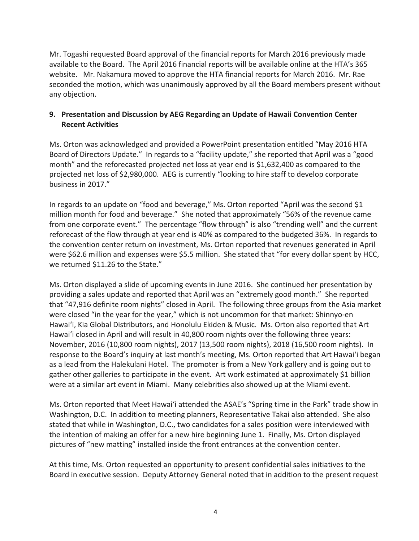Mr. Togashi requested Board approval of the financial reports for March 2016 previously made available to the Board. The April 2016 financial reports will be available online at the HTA's 365 website. Mr. Nakamura moved to approve the HTA financial reports for March 2016. Mr. Rae seconded the motion, which was unanimously approved by all the Board members present without any objection.

### **9. Presentation and Discussion by AEG Regarding an Update of Hawaii Convention Center Recent Activities**

Ms. Orton was acknowledged and provided a PowerPoint presentation entitled "May 2016 HTA Board of Directors Update." In regards to a "facility update," she reported that April was a "good month" and the reforecasted projected net loss at year end is \$1,632,400 as compared to the projected net loss of \$2,980,000. AEG is currently "looking to hire staff to develop corporate business in 2017."

In regards to an update on "food and beverage," Ms. Orton reported "April was the second \$1 million month for food and beverage." She noted that approximately "56% of the revenue came from one corporate event." The percentage "flow through" is also "trending well" and the current reforecast of the flow through at year end is 40% as compared to the budgeted 36%. In regards to the convention center return on investment, Ms. Orton reported that revenues generated in April were \$62.6 million and expenses were \$5.5 million. She stated that "for every dollar spent by HCC, we returned \$11.26 to the State."

Ms. Orton displayed a slide of upcoming events in June 2016. She continued her presentation by providing a sales update and reported that April was an "extremely good month." She reported that "47,916 definite room nights" closed in April. The following three groups from the Asia market were closed "in the year for the year," which is not uncommon for that market: Shinnyo-en Hawai'i, Kia Global Distributors, and Honolulu Ekiden & Music. Ms. Orton also reported that Art Hawai'i closed in April and will result in 40,800 room nights over the following three years: November, 2016 (10,800 room nights), 2017 (13,500 room nights), 2018 (16,500 room nights). In response to the Board's inquiry at last month's meeting, Ms. Orton reported that Art Hawai'i began as a lead from the Halekulani Hotel. The promoter is from a New York gallery and is going out to gather other galleries to participate in the event. Art work estimated at approximately \$1 billion were at a similar art event in Miami. Many celebrities also showed up at the Miami event.

Ms. Orton reported that Meet Hawai'i attended the ASAE's "Spring time in the Park" trade show in Washington, D.C. In addition to meeting planners, Representative Takai also attended. She also stated that while in Washington, D.C., two candidates for a sales position were interviewed with the intention of making an offer for a new hire beginning June 1. Finally, Ms. Orton displayed pictures of "new matting" installed inside the front entrances at the convention center.

At this time, Ms. Orton requested an opportunity to present confidential sales initiatives to the Board in executive session. Deputy Attorney General noted that in addition to the present request